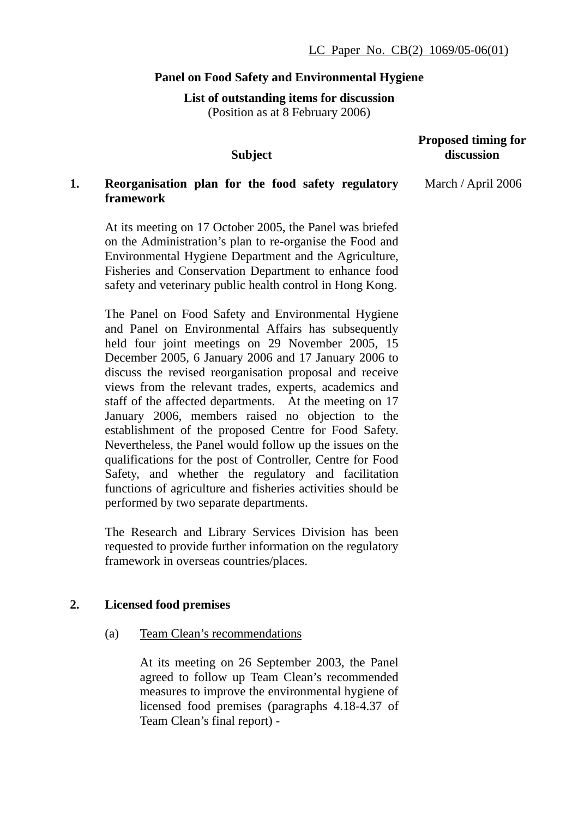# **Panel on Food Safety and Environmental Hygiene**

**List of outstanding items for discussion** 

(Position as at 8 February 2006)

# **Subject Proposed timing for discussion 1. Reorganisation plan for the food safety regulatory framework**  At its meeting on 17 October 2005, the Panel was briefed March / April 2006

on the Administration's plan to re-organise the Food and Environmental Hygiene Department and the Agriculture, Fisheries and Conservation Department to enhance food safety and veterinary public health control in Hong Kong.

The Panel on Food Safety and Environmental Hygiene and Panel on Environmental Affairs has subsequently held four joint meetings on 29 November 2005, 15 December 2005, 6 January 2006 and 17 January 2006 to discuss the revised reorganisation proposal and receive views from the relevant trades, experts, academics and staff of the affected departments. At the meeting on 17 January 2006, members raised no objection to the establishment of the proposed Centre for Food Safety. Nevertheless, the Panel would follow up the issues on the qualifications for the post of Controller, Centre for Food Safety, and whether the regulatory and facilitation functions of agriculture and fisheries activities should be performed by two separate departments.

The Research and Library Services Division has been requested to provide further information on the regulatory framework in overseas countries/places.

# **2. Licensed food premises**

(a) Team Clean's recommendations

At its meeting on 26 September 2003, the Panel agreed to follow up Team Clean's recommended measures to improve the environmental hygiene of licensed food premises (paragraphs 4.18-4.37 of Team Clean's final report) -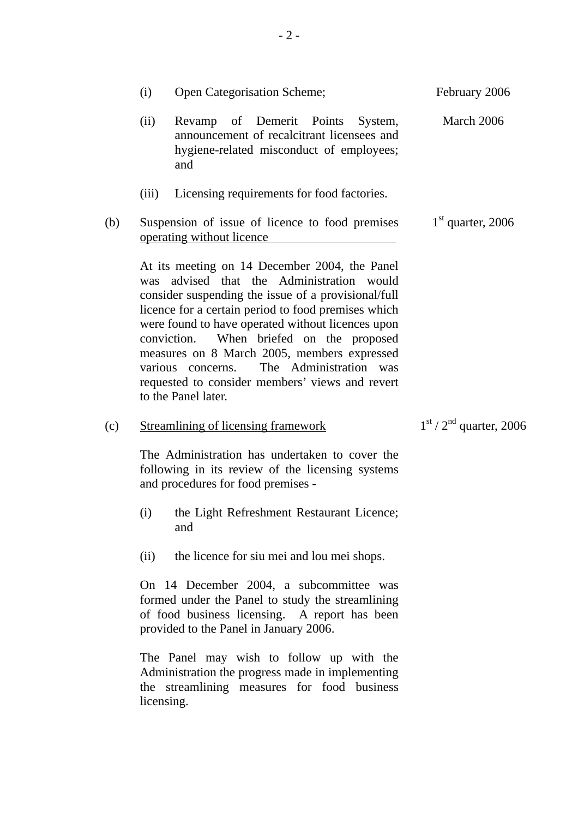|     | (i)                                                                                                                                                                                    | <b>Open Categorisation Scheme;</b>                                                                                                                                                                                                                                                                                                                                                                                                                                               | February 2006             |
|-----|----------------------------------------------------------------------------------------------------------------------------------------------------------------------------------------|----------------------------------------------------------------------------------------------------------------------------------------------------------------------------------------------------------------------------------------------------------------------------------------------------------------------------------------------------------------------------------------------------------------------------------------------------------------------------------|---------------------------|
|     | (ii)                                                                                                                                                                                   | Revamp of Demerit Points System,<br>announcement of recalcitrant licensees and<br>hygiene-related misconduct of employees;<br>and                                                                                                                                                                                                                                                                                                                                                | March 2006                |
|     | (iii)                                                                                                                                                                                  | Licensing requirements for food factories.                                                                                                                                                                                                                                                                                                                                                                                                                                       |                           |
| (b) |                                                                                                                                                                                        | Suspension of issue of licence to food premises<br>operating without licence                                                                                                                                                                                                                                                                                                                                                                                                     | $1st$ quarter, 2006       |
|     | was                                                                                                                                                                                    | At its meeting on 14 December 2004, the Panel<br>advised that the Administration would<br>consider suspending the issue of a provisional/full<br>licence for a certain period to food premises which<br>were found to have operated without licences upon<br>When briefed on the proposed<br>conviction.<br>measures on 8 March 2005, members expressed<br>The Administration was<br>various concerns.<br>requested to consider members' views and revert<br>to the Panel later. |                           |
| (c) |                                                                                                                                                                                        | <b>Streamlining of licensing framework</b>                                                                                                                                                                                                                                                                                                                                                                                                                                       | $1st / 2nd$ quarter, 2006 |
|     |                                                                                                                                                                                        | The Administration has undertaken to cover the<br>following in its review of the licensing systems<br>and procedures for food premises -                                                                                                                                                                                                                                                                                                                                         |                           |
|     | (i)                                                                                                                                                                                    | the Light Refreshment Restaurant Licence;<br>and                                                                                                                                                                                                                                                                                                                                                                                                                                 |                           |
|     | (ii)                                                                                                                                                                                   | the licence for siu mei and lou mei shops.                                                                                                                                                                                                                                                                                                                                                                                                                                       |                           |
|     | On 14 December 2004, a subcommittee was<br>formed under the Panel to study the streamlining<br>of food business licensing. A report has been<br>provided to the Panel in January 2006. |                                                                                                                                                                                                                                                                                                                                                                                                                                                                                  |                           |
|     | licensing.                                                                                                                                                                             | The Panel may wish to follow up with the<br>Administration the progress made in implementing<br>the streamlining measures for food business                                                                                                                                                                                                                                                                                                                                      |                           |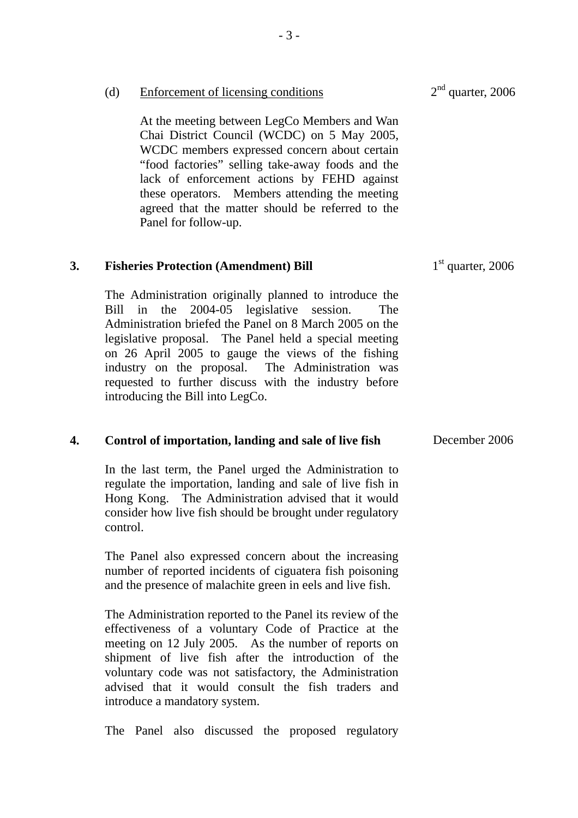|    | WCDC members expressed concern about certain<br>"food factories" selling take-away foods and the<br>lack of enforcement actions by FEHD against<br>these operators. Members attending the meeting<br>agreed that the matter should be referred to the<br>Panel for follow-up.                                                                                                                                                                  |                     |
|----|------------------------------------------------------------------------------------------------------------------------------------------------------------------------------------------------------------------------------------------------------------------------------------------------------------------------------------------------------------------------------------------------------------------------------------------------|---------------------|
| 3. | <b>Fisheries Protection (Amendment) Bill</b>                                                                                                                                                                                                                                                                                                                                                                                                   | $1st$ quarter, 2006 |
|    | The Administration originally planned to introduce the<br>2004-05 legislative session.<br>the<br>Bill<br>in<br>The<br>Administration briefed the Panel on 8 March 2005 on the<br>legislative proposal. The Panel held a special meeting<br>on 26 April 2005 to gauge the views of the fishing<br>industry on the proposal. The Administration was<br>requested to further discuss with the industry before<br>introducing the Bill into LegCo. |                     |
| 4. | Control of importation, landing and sale of live fish                                                                                                                                                                                                                                                                                                                                                                                          | December 2006       |
|    | In the last term, the Panel urged the Administration to<br>regulate the importation, landing and sale of live fish in<br>Hong Kong. The Administration advised that it would<br>consider how live fish should be brought under regulatory<br>control.                                                                                                                                                                                          |                     |
|    | The Panel also expressed concern about the increasing<br>number of reported incidents of ciguatera fish poisoning<br>and the presence of malachite green in eels and live fish.                                                                                                                                                                                                                                                                |                     |
|    | The Administration reported to the Panel its review of the<br>effectiveness of a voluntary Code of Practice at the<br>meeting on 12 July 2005. As the number of reports on<br>shipment of live fish after the introduction of the<br>voluntary code was not satisfactory, the Administration<br>advised that it would consult the fish traders and<br>introduce a mandatory system.                                                            |                     |
|    | also discussed the proposed regulatory<br>The<br>Panel                                                                                                                                                                                                                                                                                                                                                                                         |                     |

(d) Enforcement of licensing conditions

At the meeting between LegCo Members and Wan Chai District Council (WCDC) on 5 May 2005, WCDC members expressed concern about certain  $2<sup>nd</sup>$  quarter, 2006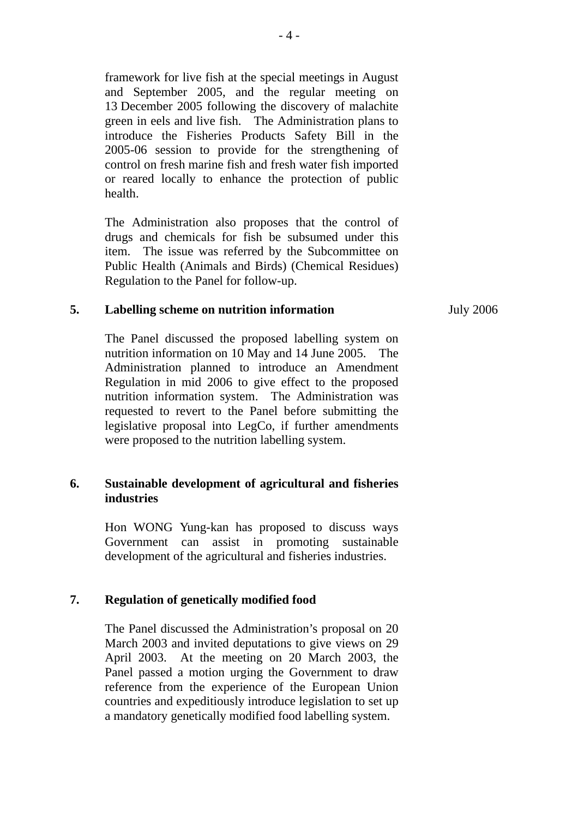framework for live fish at the special meetings in August and September 2005, and the regular meeting on 13 December 2005 following the discovery of malachite green in eels and live fish. The Administration plans to introduce the Fisheries Products Safety Bill in the 2005-06 session to provide for the strengthening of control on fresh marine fish and fresh water fish imported or reared locally to enhance the protection of public health.

The Administration also proposes that the control of drugs and chemicals for fish be subsumed under this item. The issue was referred by the Subcommittee on Public Health (Animals and Birds) (Chemical Residues) Regulation to the Panel for follow-up.

### **5. Labelling scheme on nutrition information**

The Panel discussed the proposed labelling system on nutrition information on 10 May and 14 June 2005. The Administration planned to introduce an Amendment Regulation in mid 2006 to give effect to the proposed nutrition information system. The Administration was requested to revert to the Panel before submitting the legislative proposal into LegCo, if further amendments were proposed to the nutrition labelling system.

# **6. Sustainable development of agricultural and fisheries industries**

Hon WONG Yung-kan has proposed to discuss ways Government can assist in promoting sustainable development of the agricultural and fisheries industries.

## **7. Regulation of genetically modified food**

The Panel discussed the Administration's proposal on 20 March 2003 and invited deputations to give views on 29 April 2003. At the meeting on 20 March 2003, the Panel passed a motion urging the Government to draw reference from the experience of the European Union countries and expeditiously introduce legislation to set up a mandatory genetically modified food labelling system.

July 2006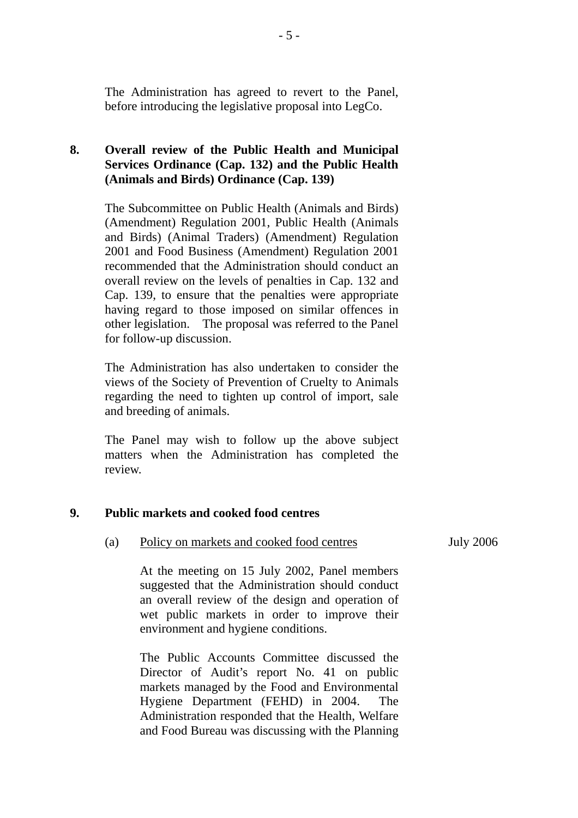The Administration has agreed to revert to the Panel, before introducing the legislative proposal into LegCo.

# **8. Overall review of the Public Health and Municipal Services Ordinance (Cap. 132) and the Public Health (Animals and Birds) Ordinance (Cap. 139)**

The Subcommittee on Public Health (Animals and Birds) (Amendment) Regulation 2001, Public Health (Animals and Birds) (Animal Traders) (Amendment) Regulation 2001 and Food Business (Amendment) Regulation 2001 recommended that the Administration should conduct an overall review on the levels of penalties in Cap. 132 and Cap. 139, to ensure that the penalties were appropriate having regard to those imposed on similar offences in other legislation. The proposal was referred to the Panel for follow-up discussion.

The Administration has also undertaken to consider the views of the Society of Prevention of Cruelty to Animals regarding the need to tighten up control of import, sale and breeding of animals.

The Panel may wish to follow up the above subject matters when the Administration has completed the review.

## **9. Public markets and cooked food centres**

(a) Policy on markets and cooked food centres

July 2006

At the meeting on 15 July 2002, Panel members suggested that the Administration should conduct an overall review of the design and operation of wet public markets in order to improve their environment and hygiene conditions.

The Public Accounts Committee discussed the Director of Audit's report No. 41 on public markets managed by the Food and Environmental Hygiene Department (FEHD) in 2004. The Administration responded that the Health, Welfare and Food Bureau was discussing with the Planning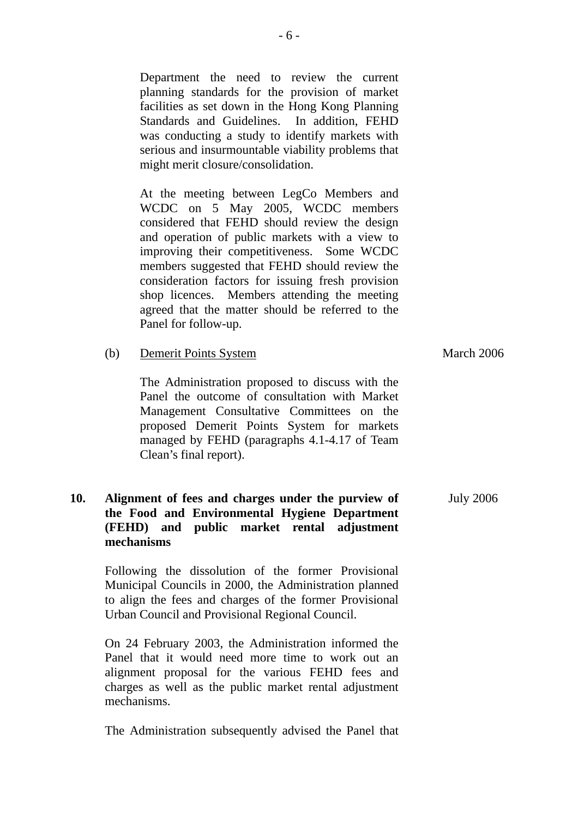Department the need to review the current planning standards for the provision of market facilities as set down in the Hong Kong Planning Standards and Guidelines. In addition, FEHD was conducting a study to identify markets with serious and insurmountable viability problems that might merit closure/consolidation.

At the meeting between LegCo Members and WCDC on 5 May 2005, WCDC members considered that FEHD should review the design and operation of public markets with a view to improving their competitiveness. Some WCDC members suggested that FEHD should review the consideration factors for issuing fresh provision shop licences. Members attending the meeting agreed that the matter should be referred to the Panel for follow-up.

(b) Demerit Points System

The Administration proposed to discuss with the Panel the outcome of consultation with Market Management Consultative Committees on the proposed Demerit Points System for markets managed by FEHD (paragraphs 4.1-4.17 of Team Clean's final report).

March 2006

### **10. Alignment of fees and charges under the purview of the Food and Environmental Hygiene Department (FEHD) and public market rental adjustment mechanisms**  July 2006

Following the dissolution of the former Provisional Municipal Councils in 2000, the Administration planned to align the fees and charges of the former Provisional Urban Council and Provisional Regional Council.

On 24 February 2003, the Administration informed the Panel that it would need more time to work out an alignment proposal for the various FEHD fees and charges as well as the public market rental adjustment mechanisms.

The Administration subsequently advised the Panel that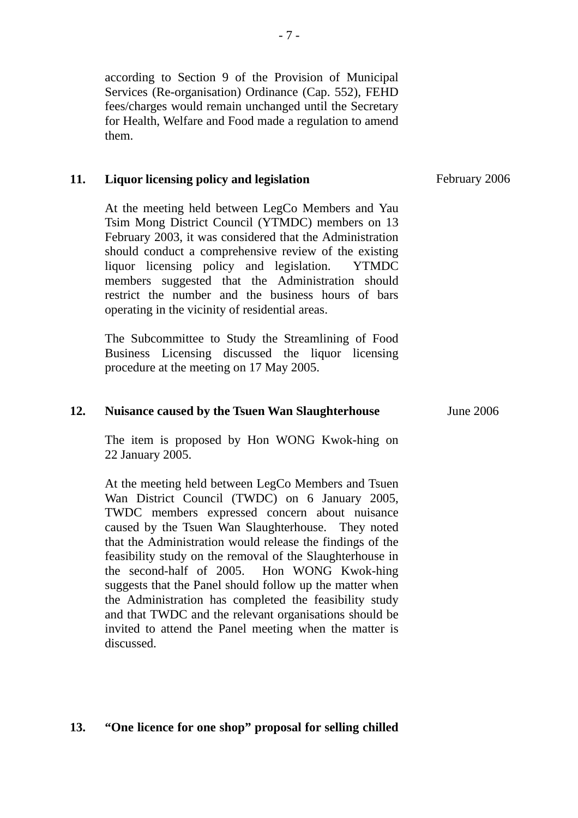according to Section 9 of the Provision of Municipal Services (Re-organisation) Ordinance (Cap. 552), FEHD fees/charges would remain unchanged until the Secretary for Health, Welfare and Food made a regulation to amend them.

### **11. Liquor licensing policy and legislation**

At the meeting held between LegCo Members and Yau Tsim Mong District Council (YTMDC) members on 13 February 2003, it was considered that the Administration should conduct a comprehensive review of the existing liquor licensing policy and legislation. YTMDC members suggested that the Administration should restrict the number and the business hours of bars operating in the vicinity of residential areas.

The Subcommittee to Study the Streamlining of Food Business Licensing discussed the liquor licensing procedure at the meeting on 17 May 2005.

### **12. Nuisance caused by the Tsuen Wan Slaughterhouse**

The item is proposed by Hon WONG Kwok-hing on 22 January 2005.

At the meeting held between LegCo Members and Tsuen Wan District Council (TWDC) on 6 January 2005, TWDC members expressed concern about nuisance caused by the Tsuen Wan Slaughterhouse. They noted that the Administration would release the findings of the feasibility study on the removal of the Slaughterhouse in the second-half of 2005. Hon WONG Kwok-hing suggests that the Panel should follow up the matter when the Administration has completed the feasibility study and that TWDC and the relevant organisations should be invited to attend the Panel meeting when the matter is discussed.

### **13. "One licence for one shop" proposal for selling chilled**

February 2006

June 2006